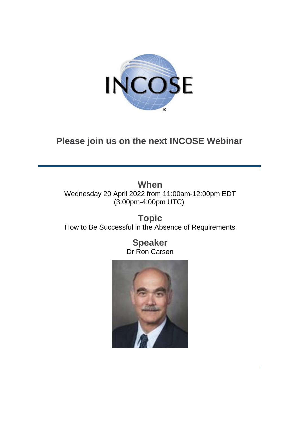

# **Please join us on the next INCOSE Webinar**

**When** Wednesday 20 April 2022 from 11:00am-12:00pm EDT (3:00pm-4:00pm UTC)

**Topic**  How to Be Successful in the Absence of Requirements

> **Speaker** Dr Ron Carson

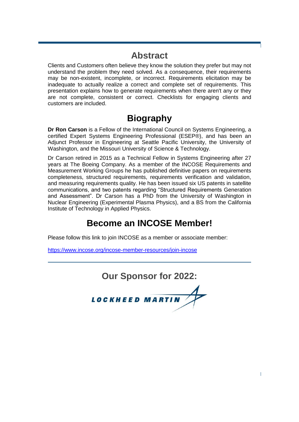## **Abstract**

Clients and Customers often believe they know the solution they prefer but may not understand the problem they need solved. As a consequence, their requirements may be non-existent, incomplete, or incorrect. Requirements elicitation may be inadequate to actually realize a correct and complete set of requirements. This presentation explains how to generate requirements when there aren't any or they are not complete, consistent or correct. Checklists for engaging clients and customers are included.

#### **Biography**

**Dr Ron Carson** is a Fellow of the International Council on Systems Engineering, a certified Expert Systems Engineering Professional (ESEP®), and has been an Adjunct Professor in Engineering at Seattle Pacific University, the University of Washington, and the Missouri University of Science & Technology.

Dr Carson retired in 2015 as a Technical Fellow in Systems Engineering after 27 years at The Boeing Company. As a member of the INCOSE Requirements and Measurement Working Groups he has published definitive papers on requirements completeness, structured requirements, requirements verification and validation, and measuring requirements quality. He has been issued six US patents in satellite communications, and two patents regarding "Structured Requirements Generation and Assessment". Dr Carson has a PhD from the University of Washington in Nuclear Engineering (Experimental Plasma Physics), and a BS from the California Institute of Technology in Applied Physics.

# **Become an INCOSE Member!**

Please follow this link to join INCOSE as a member or associate member:

<https://www.incose.org/incose-member-resources/join-incose>

**Our Sponsor for 2022:**

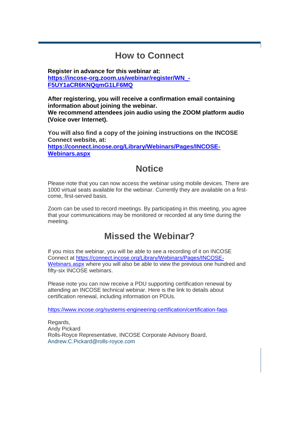## **How to Connect**

**Register in advance for this webinar at: [https://incose-org.zoom.us/webinar/register/WN\\_-](https://incose-org.zoom.us/webinar/register/WN_-F5UY1aCR6KNQqmG1LF6MQ) [F5UY1aCR6KNQqmG1LF6MQ](https://incose-org.zoom.us/webinar/register/WN_-F5UY1aCR6KNQqmG1LF6MQ)**

**After registering, you will receive a confirmation email containing information about joining the webinar. We recommend attendees join audio using the ZOOM platform audio (Voice over Internet).**

**You will also find a copy of the joining instructions on the INCOSE Connect website, at: [https://connect.incose.org/Library/Webinars/Pages/INCOSE-](https://connect.incose.org/Library/Webinars/Pages/INCOSE-Webinars.aspx)[Webinars.aspx](https://connect.incose.org/Library/Webinars/Pages/INCOSE-Webinars.aspx)**

## **Notice**

Please note that you can now access the webinar using mobile devices. There are 1000 virtual seats available for the webinar. Currently they are available on a firstcome, first-served basis.

Zoom can be used to record meetings. By participating in this meeting, you agree that your communications may be monitored or recorded at any time during the meeting.

## **Missed the Webinar?**

If you miss the webinar, you will be able to see a recording of it on INCOSE Connect at [https://connect.incose.org/Library/Webinars/Pages/INCOSE-](https://connect.incose.org/Library/Webinars/Pages/INCOSE-Webinars.aspx)[Webinars.aspx](https://connect.incose.org/Library/Webinars/Pages/INCOSE-Webinars.aspx) where you will also be able to view the previous one hundred and fifty-six INCOSE webinars.

Please note you can now receive a PDU supporting certification renewal by attending an INCOSE technical webinar. Here is the link to details about certification renewal, including information on PDUs.

<https://www.incose.org/systems-engineering-certification/certification-faqs>

Regards, Andy Pickard Rolls-Royce Representative, INCOSE Corporate Advisory Board, [Andrew.C.Pickard@rolls-royce.com](mailto:Andrew.C.Pickard@rolls-royce.com)